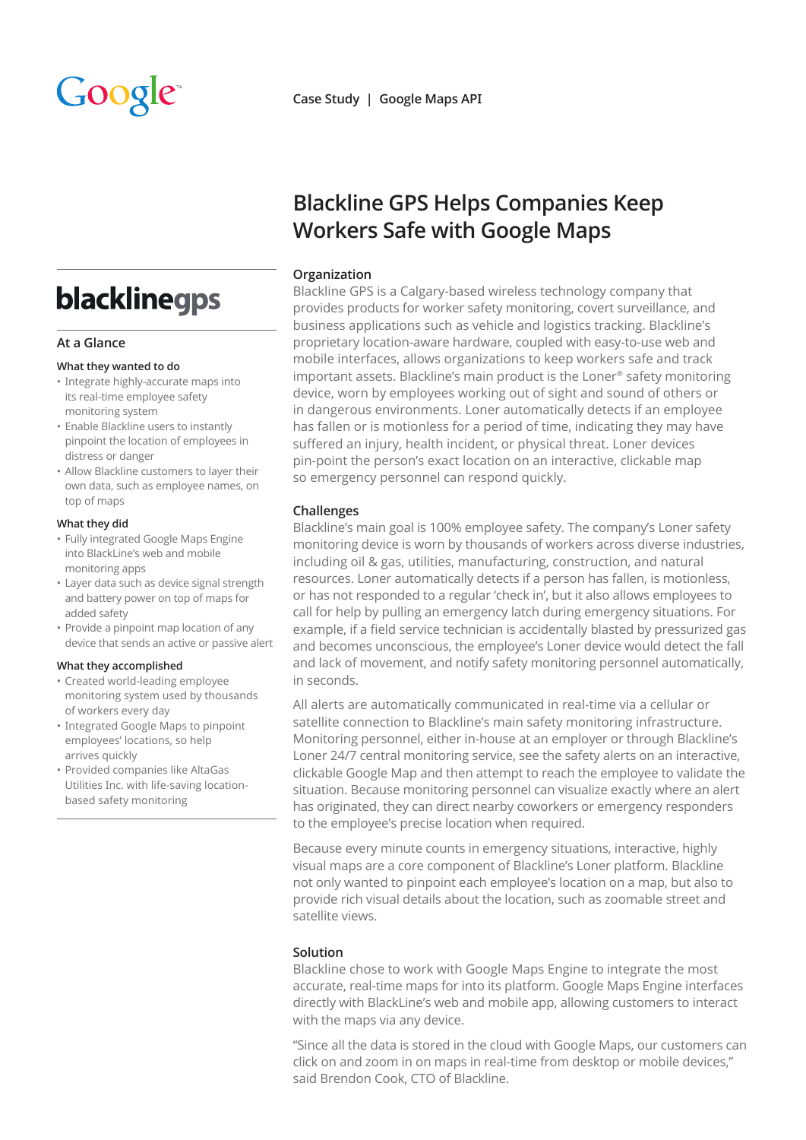# Google

## blacklinegps

#### **At a Glance**

#### **What they wanted to do**

- Integrate highly-accurate maps into its real-time employee safety monitoring system
- • Enable Blackline users to instantly pinpoint the location of employees in distress or danger
- • Allow Blackline customers to layer their own data, such as employee names, on top of maps

#### **What they did**

- • Fully integrated Google Maps Engine into BlackLine's web and mobile monitoring apps
- • Layer data such as device signal strength and battery power on top of maps for added safety
- • Provide a pinpoint map location of any device that sends an active or passive alert

#### **What they accomplished**

- • Created world-leading employee monitoring system used by thousands of workers every day
- Integrated Google Maps to pinpoint employees' locations, so help arrives quickly
- • Provided companies like AltaGas Utilities Inc. with life-saving locationbased safety monitoring

**Case Study | Google Maps API**

### **Blackline GPS Helps Companies Keep Workers Safe with Google Maps**

#### **Organization**

Blackline GPS is a Calgary-based wireless technology company that provides products for worker safety monitoring, covert surveillance, and business applications such as vehicle and logistics tracking. Blackline's proprietary location-aware hardware, coupled with easy-to-use web and mobile interfaces, allows organizations to keep workers safe and track important assets. Blackline's main product is the Loner® safety monitoring device, worn by employees working out of sight and sound of others or in dangerous environments. Loner automatically detects if an employee has fallen or is motionless for a period of time, indicating they may have suffered an injury, health incident, or physical threat. Loner devices pin-point the person's exact location on an interactive, clickable map so emergency personnel can respond quickly.

#### **Challenges**

Blackline's main goal is 100% employee safety. The company's Loner safety monitoring device is worn by thousands of workers across diverse industries, including oil & gas, utilities, manufacturing, construction, and natural resources. Loner automatically detects if a person has fallen, is motionless, or has not responded to a regular 'check in', but it also allows employees to call for help by pulling an emergency latch during emergency situations. For example, if a field service technician is accidentally blasted by pressurized gas and becomes unconscious, the employee's Loner device would detect the fall and lack of movement, and notify safety monitoring personnel automatically, in seconds.

All alerts are automatically communicated in real-time via a cellular or satellite connection to Blackline's main safety monitoring infrastructure. Monitoring personnel, either in-house at an employer or through Blackline's Loner 24/7 central monitoring service, see the safety alerts on an interactive, clickable Google Map and then attempt to reach the employee to validate the situation. Because monitoring personnel can visualize exactly where an alert has originated, they can direct nearby coworkers or emergency responders to the employee's precise location when required.

Because every minute counts in emergency situations, interactive, highly visual maps are a core component of Blackline's Loner platform. Blackline not only wanted to pinpoint each employee's location on a map, but also to provide rich visual details about the location, such as zoomable street and satellite views.

#### **Solution**

Blackline chose to work with Google Maps Engine to integrate the most accurate, real-time maps for into its platform. Google Maps Engine interfaces directly with BlackLine's web and mobile app, allowing customers to interact with the maps via any device.

"Since all the data is stored in the cloud with Google Maps, our customers can click on and zoom in on maps in real-time from desktop or mobile devices," said Brendon Cook, CTO of Blackline.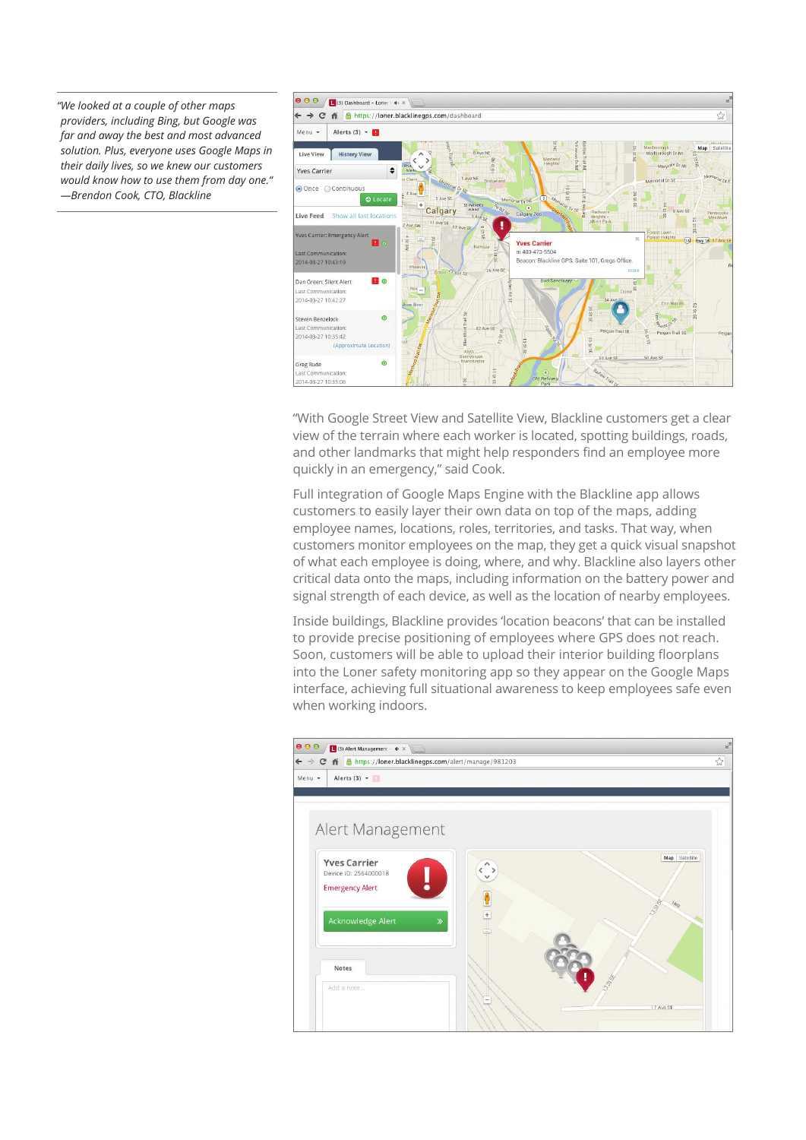*"We looked at a couple of other maps providers, including Bing, but Google was far and away the best and most advanced solution. Plus, everyone uses Google Maps in their daily lives, so we knew our customers would know how to use them from day one." —Brendon Cook, CTO, Blackline*



"With Google Street View and Satellite View, Blackline customers get a clear view of the terrain where each worker is located, spotting buildings, roads, and other landmarks that might help responders find an employee more quickly in an emergency," said Cook.

Full integration of Google Maps Engine with the Blackline app allows customers to easily layer their own data on top of the maps, adding employee names, locations, roles, territories, and tasks. That way, when customers monitor employees on the map, they get a quick visual snapshot of what each employee is doing, where, and why. Blackline also layers other critical data onto the maps, including information on the battery power and signal strength of each device, as well as the location of nearby employees.

Inside buildings, Blackline provides 'location beacons' that can be installed to provide precise positioning of employees where GPS does not reach. Soon, customers will be able to upload their interior building floorplans into the Loner safety monitoring app so they appear on the Google Maps interface, achieving full situational awareness to keep employees safe even when working indoors.